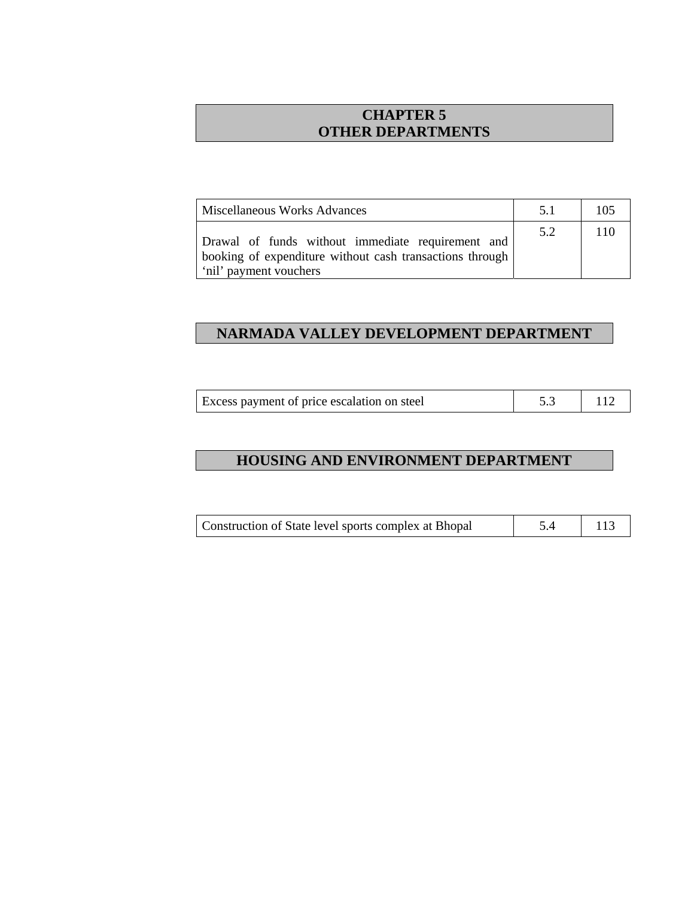# **CHAPTER 5 OTHER DEPARTMENTS**

| Miscellaneous Works Advances                                                                                                            | 5.1 | 105 |
|-----------------------------------------------------------------------------------------------------------------------------------------|-----|-----|
| Drawal of funds without immediate requirement and<br>booking of expenditure without cash transactions through<br>'nil' payment vouchers | 5.2 | 110 |

## **NARMADA VALLEY DEVELOPMENT DEPARTMENT**

| Excess payment of price escalation on steel |  |
|---------------------------------------------|--|
|                                             |  |

# **HOUSING AND ENVIRONMENT DEPARTMENT**

| Construction of State level sports complex at Bhopal |  | $\vert$ 113 |
|------------------------------------------------------|--|-------------|
|------------------------------------------------------|--|-------------|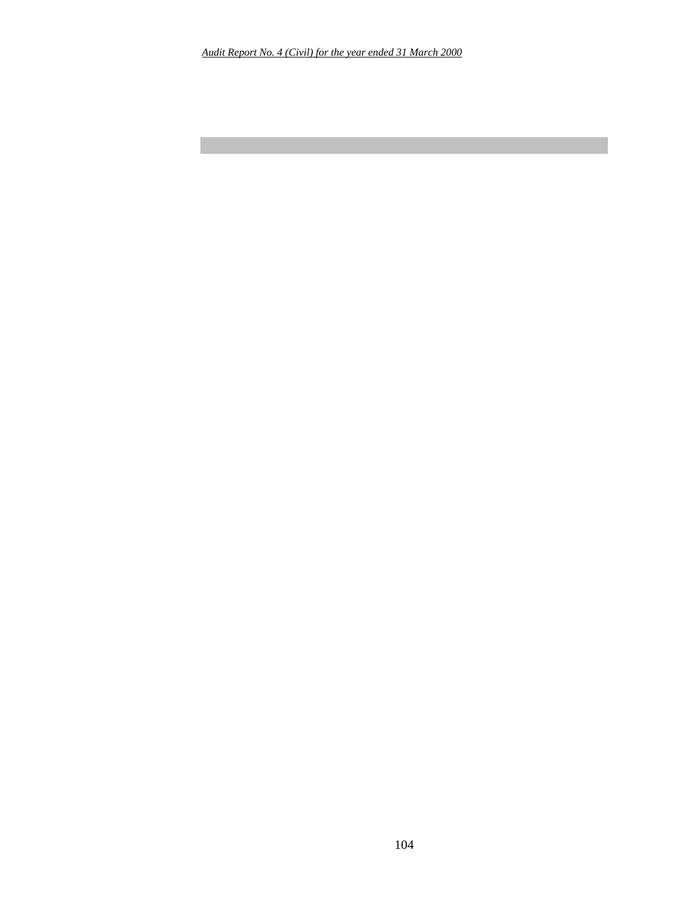*Audit Report No. 4 (Civil) for the year ended 31 March 2000*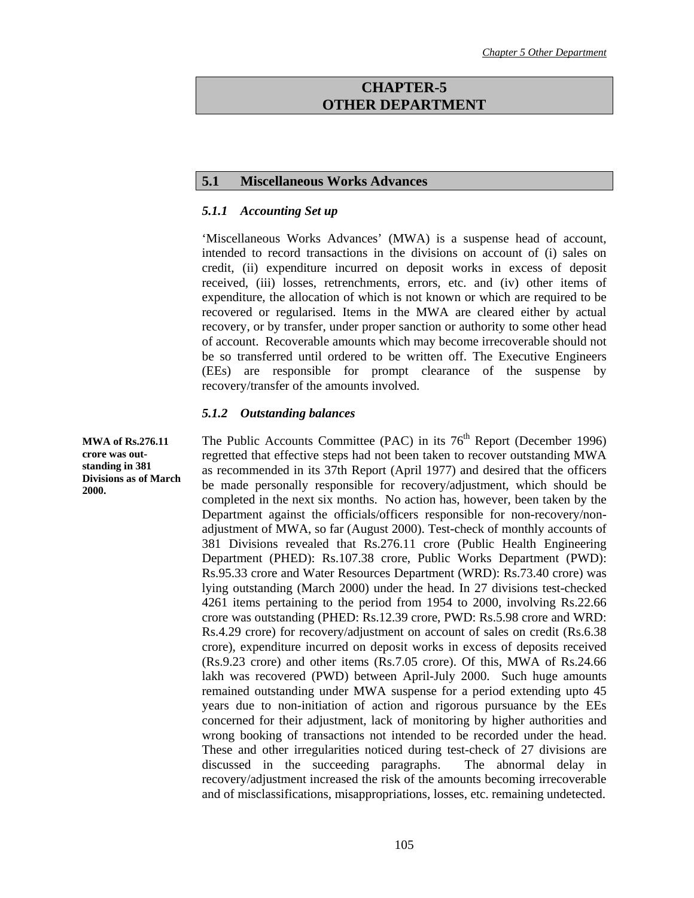## **CHAPTER-5 OTHER DEPARTMENT**

### **5.1 Miscellaneous Works Advances**

#### *5.1.1 Accounting Set up*

'Miscellaneous Works Advances' (MWA) is a suspense head of account, intended to record transactions in the divisions on account of (i) sales on credit, (ii) expenditure incurred on deposit works in excess of deposit received, (iii) losses, retrenchments, errors, etc. and (iv) other items of expenditure, the allocation of which is not known or which are required to be recovered or regularised. Items in the MWA are cleared either by actual recovery, or by transfer, under proper sanction or authority to some other head of account. Recoverable amounts which may become irrecoverable should not be so transferred until ordered to be written off. The Executive Engineers (EEs) are responsible for prompt clearance of the suspense by recovery/transfer of the amounts involved.

#### *5.1.2 Outstanding balances*

The Public Accounts Committee (PAC) in its  $76<sup>th</sup>$  Report (December 1996) regretted that effective steps had not been taken to recover outstanding MWA as recommended in its 37th Report (April 1977) and desired that the officers be made personally responsible for recovery/adjustment, which should be completed in the next six months. No action has, however, been taken by the Department against the officials/officers responsible for non-recovery/nonadjustment of MWA, so far (August 2000). Test-check of monthly accounts of 381 Divisions revealed that Rs.276.11 crore (Public Health Engineering Department (PHED): Rs.107.38 crore, Public Works Department (PWD): Rs.95.33 crore and Water Resources Department (WRD): Rs.73.40 crore) was lying outstanding (March 2000) under the head. In 27 divisions test-checked 4261 items pertaining to the period from 1954 to 2000, involving Rs.22.66 crore was outstanding (PHED: Rs.12.39 crore, PWD: Rs.5.98 crore and WRD: Rs.4.29 crore) for recovery/adjustment on account of sales on credit (Rs.6.38 crore), expenditure incurred on deposit works in excess of deposits received (Rs.9.23 crore) and other items (Rs.7.05 crore). Of this, MWA of Rs.24.66 lakh was recovered (PWD) between April-July 2000. Such huge amounts remained outstanding under MWA suspense for a period extending upto 45 years due to non-initiation of action and rigorous pursuance by the EEs concerned for their adjustment, lack of monitoring by higher authorities and wrong booking of transactions not intended to be recorded under the head. These and other irregularities noticed during test-check of 27 divisions are discussed in the succeeding paragraphs. The abnormal delay in recovery/adjustment increased the risk of the amounts becoming irrecoverable and of misclassifications, misappropriations, losses, etc. remaining undetected.

**MWA of Rs.276.11 crore was outstanding in 381 Divisions as of March 2000.**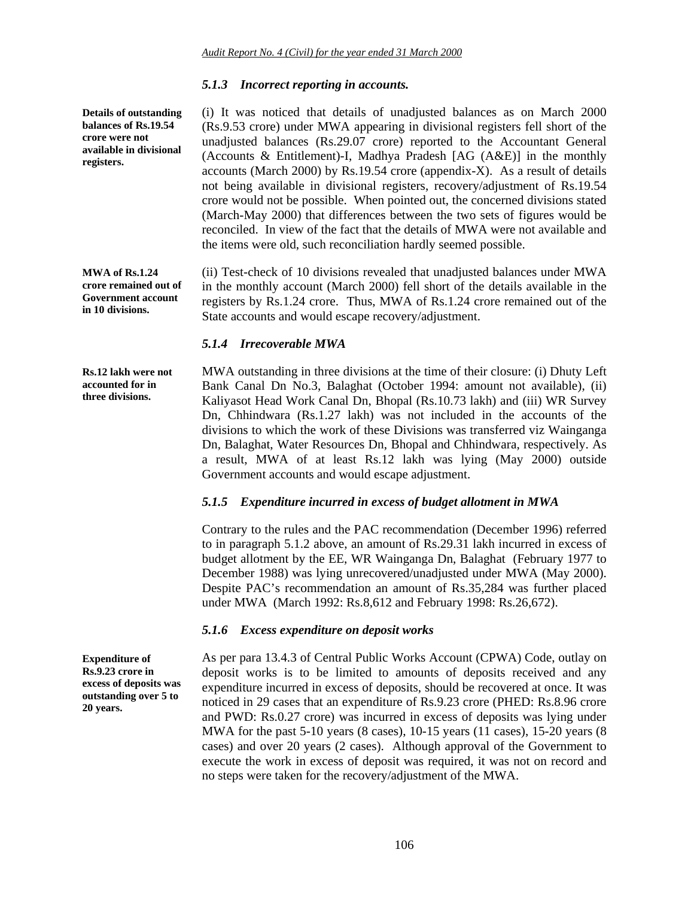#### *5.1.3 Incorrect reporting in accounts.*

**Details of outstanding balances of Rs.19.54 crore were not available in divisional registers.** 

**MWA of Rs.1.24 crore remained out of Government account in 10 divisions.** 

**Rs.12 lakh were not accounted for in three divisions.** 

**Expenditure of Rs.9.23 crore in excess of deposits was outstanding over 5 to 20 years.** 

(i) It was noticed that details of unadjusted balances as on March 2000 (Rs.9.53 crore) under MWA appearing in divisional registers fell short of the unadjusted balances (Rs.29.07 crore) reported to the Accountant General (Accounts & Entitlement)-I, Madhya Pradesh [AG (A&E)] in the monthly accounts (March 2000) by Rs.19.54 crore (appendix-X). As a result of details not being available in divisional registers, recovery/adjustment of Rs.19.54 crore would not be possible. When pointed out, the concerned divisions stated (March-May 2000) that differences between the two sets of figures would be reconciled. In view of the fact that the details of MWA were not available and the items were old, such reconciliation hardly seemed possible.

(ii) Test-check of 10 divisions revealed that unadjusted balances under MWA in the monthly account (March 2000) fell short of the details available in the registers by Rs.1.24 crore. Thus, MWA of Rs.1.24 crore remained out of the State accounts and would escape recovery/adjustment.

#### *5.1.4 Irrecoverable MWA*

MWA outstanding in three divisions at the time of their closure: (i) Dhuty Left Bank Canal Dn No.3, Balaghat (October 1994: amount not available), (ii) Kaliyasot Head Work Canal Dn, Bhopal (Rs.10.73 lakh) and (iii) WR Survey Dn, Chhindwara (Rs.1.27 lakh) was not included in the accounts of the divisions to which the work of these Divisions was transferred viz Wainganga Dn, Balaghat, Water Resources Dn, Bhopal and Chhindwara, respectively. As a result, MWA of at least Rs.12 lakh was lying (May 2000) outside Government accounts and would escape adjustment.

### *5.1.5 Expenditure incurred in excess of budget allotment in MWA*

Contrary to the rules and the PAC recommendation (December 1996) referred to in paragraph 5.1.2 above, an amount of Rs.29.31 lakh incurred in excess of budget allotment by the EE, WR Wainganga Dn, Balaghat (February 1977 to December 1988) was lying unrecovered/unadjusted under MWA (May 2000). Despite PAC's recommendation an amount of Rs.35,284 was further placed under MWA (March 1992: Rs.8,612 and February 1998: Rs.26,672).

### *5.1.6 Excess expenditure on deposit works*

As per para 13.4.3 of Central Public Works Account (CPWA) Code, outlay on deposit works is to be limited to amounts of deposits received and any expenditure incurred in excess of deposits, should be recovered at once. It was noticed in 29 cases that an expenditure of Rs.9.23 crore (PHED: Rs.8.96 crore and PWD: Rs.0.27 crore) was incurred in excess of deposits was lying under MWA for the past 5-10 years (8 cases), 10-15 years (11 cases), 15-20 years (8 cases) and over 20 years (2 cases). Although approval of the Government to execute the work in excess of deposit was required, it was not on record and no steps were taken for the recovery/adjustment of the MWA.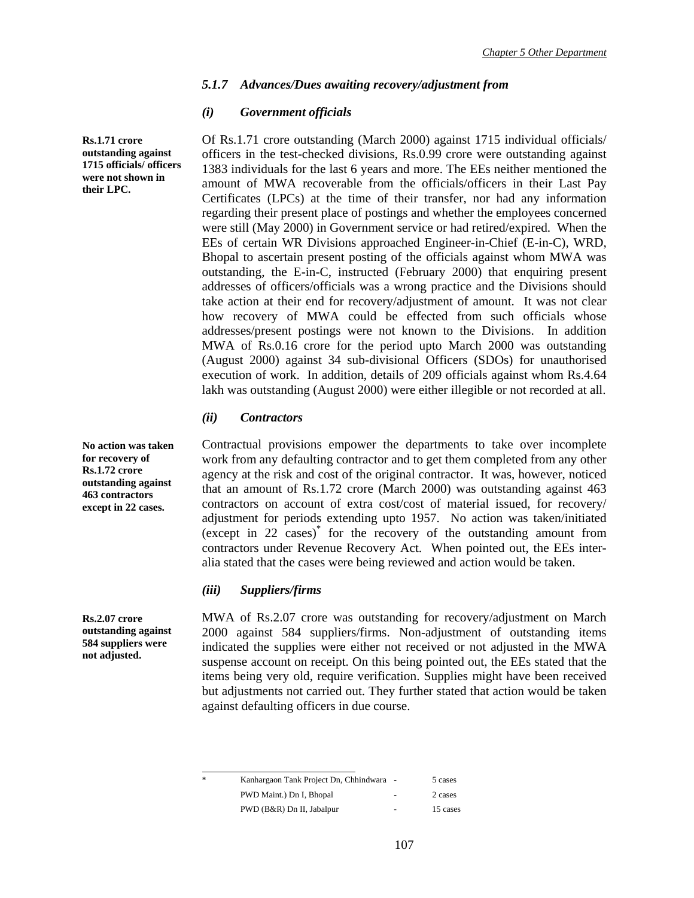#### *5.1.7 Advances/Dues awaiting recovery/adjustment from*

#### *(i) Government officials*

Of Rs.1.71 crore outstanding (March 2000) against 1715 individual officials/ officers in the test-checked divisions, Rs.0.99 crore were outstanding against 1383 individuals for the last 6 years and more. The EEs neither mentioned the amount of MWA recoverable from the officials/officers in their Last Pay Certificates (LPCs) at the time of their transfer, nor had any information regarding their present place of postings and whether the employees concerned were still (May 2000) in Government service or had retired/expired. When the EEs of certain WR Divisions approached Engineer-in-Chief (E-in-C), WRD, Bhopal to ascertain present posting of the officials against whom MWA was outstanding, the E-in-C, instructed (February 2000) that enquiring present addresses of officers/officials was a wrong practice and the Divisions should take action at their end for recovery/adjustment of amount. It was not clear how recovery of MWA could be effected from such officials whose addresses/present postings were not known to the Divisions. In addition MWA of Rs.0.16 crore for the period upto March 2000 was outstanding (August 2000) against 34 sub-divisional Officers (SDOs) for unauthorised execution of work. In addition, details of 209 officials against whom Rs.4.64 lakh was outstanding (August 2000) were either illegible or not recorded at all.

#### *(ii) Contractors*

Contractual provisions empower the departments to take over incomplete work from any defaulting contractor and to get them completed from any other agency at the risk and cost of the original contractor. It was, however, noticed that an amount of Rs.1.72 crore (March 2000) was outstanding against 463 contractors on account of extra cost/cost of material issued, for recovery/ adjustment for periods extending upto 1957. No action was taken/initiated (except in 22 cases)\* for the recovery of the outstanding amount from contractors under Revenue Recovery Act. When pointed out, the EEs interalia stated that the cases were being reviewed and action would be taken.

#### *(iii) Suppliers/firms*

MWA of Rs.2.07 crore was outstanding for recovery/adjustment on March 2000 against 584 suppliers/firms. Non-adjustment of outstanding items indicated the supplies were either not received or not adjusted in the MWA suspense account on receipt. On this being pointed out, the EEs stated that the items being very old, require verification. Supplies might have been received but adjustments not carried out. They further stated that action would be taken against defaulting officers in due course.

l \* Kanhargaon Tank Project Dn, Chhindwara - 5 cases<br>PWD Maint.) Dn I. Bhopal - 2 cases PWD Maint.) Dn I, Bhopal PWD (B&R) Dn II, Jabalpur - 15 cases

**Rs.1.71 crore outstanding against 1715 officials/ officers were not shown in their LPC.** 

**No action was taken for recovery of Rs.1.72 crore outstanding against 463 contractors except in 22 cases.** 

**Rs.2.07 crore outstanding against 584 suppliers were not adjusted.**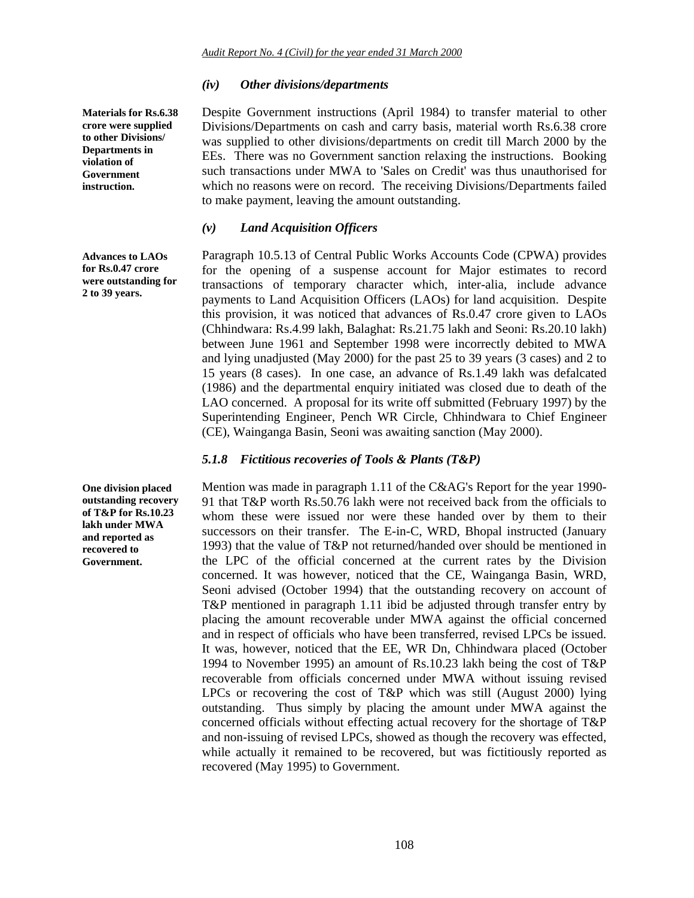### *(iv) Other divisions/departments*

**Materials for Rs.6.38 crore were supplied to other Divisions/ Departments in violation of Government instruction.** 

**Advances to LAOs for Rs.0.47 crore were outstanding for 2 to 39 years.** 

**One division placed outstanding recovery of T&P for Rs.10.23 lakh under MWA and reported as recovered to Government.** 

Despite Government instructions (April 1984) to transfer material to other Divisions/Departments on cash and carry basis, material worth Rs.6.38 crore was supplied to other divisions/departments on credit till March 2000 by the EEs. There was no Government sanction relaxing the instructions. Booking such transactions under MWA to 'Sales on Credit' was thus unauthorised for which no reasons were on record. The receiving Divisions/Departments failed to make payment, leaving the amount outstanding.

### *(v) Land Acquisition Officers*

Paragraph 10.5.13 of Central Public Works Accounts Code (CPWA) provides for the opening of a suspense account for Major estimates to record transactions of temporary character which, inter-alia, include advance payments to Land Acquisition Officers (LAOs) for land acquisition. Despite this provision, it was noticed that advances of Rs.0.47 crore given to LAOs (Chhindwara: Rs.4.99 lakh, Balaghat: Rs.21.75 lakh and Seoni: Rs.20.10 lakh) between June 1961 and September 1998 were incorrectly debited to MWA and lying unadjusted (May 2000) for the past 25 to 39 years (3 cases) and 2 to 15 years (8 cases). In one case, an advance of Rs.1.49 lakh was defalcated (1986) and the departmental enquiry initiated was closed due to death of the LAO concerned. A proposal for its write off submitted (February 1997) by the Superintending Engineer, Pench WR Circle, Chhindwara to Chief Engineer (CE), Wainganga Basin, Seoni was awaiting sanction (May 2000).

### *5.1.8 Fictitious recoveries of Tools & Plants (T&P)*

Mention was made in paragraph 1.11 of the C&AG's Report for the year 1990- 91 that T&P worth Rs.50.76 lakh were not received back from the officials to whom these were issued nor were these handed over by them to their successors on their transfer. The E-in-C, WRD, Bhopal instructed (January 1993) that the value of T&P not returned/handed over should be mentioned in the LPC of the official concerned at the current rates by the Division concerned. It was however, noticed that the CE, Wainganga Basin, WRD, Seoni advised (October 1994) that the outstanding recovery on account of T&P mentioned in paragraph 1.11 ibid be adjusted through transfer entry by placing the amount recoverable under MWA against the official concerned and in respect of officials who have been transferred, revised LPCs be issued. It was, however, noticed that the EE, WR Dn, Chhindwara placed (October 1994 to November 1995) an amount of Rs.10.23 lakh being the cost of T&P recoverable from officials concerned under MWA without issuing revised LPCs or recovering the cost of T&P which was still (August 2000) lying outstanding. Thus simply by placing the amount under MWA against the concerned officials without effecting actual recovery for the shortage of T&P and non-issuing of revised LPCs, showed as though the recovery was effected, while actually it remained to be recovered, but was fictitiously reported as recovered (May 1995) to Government.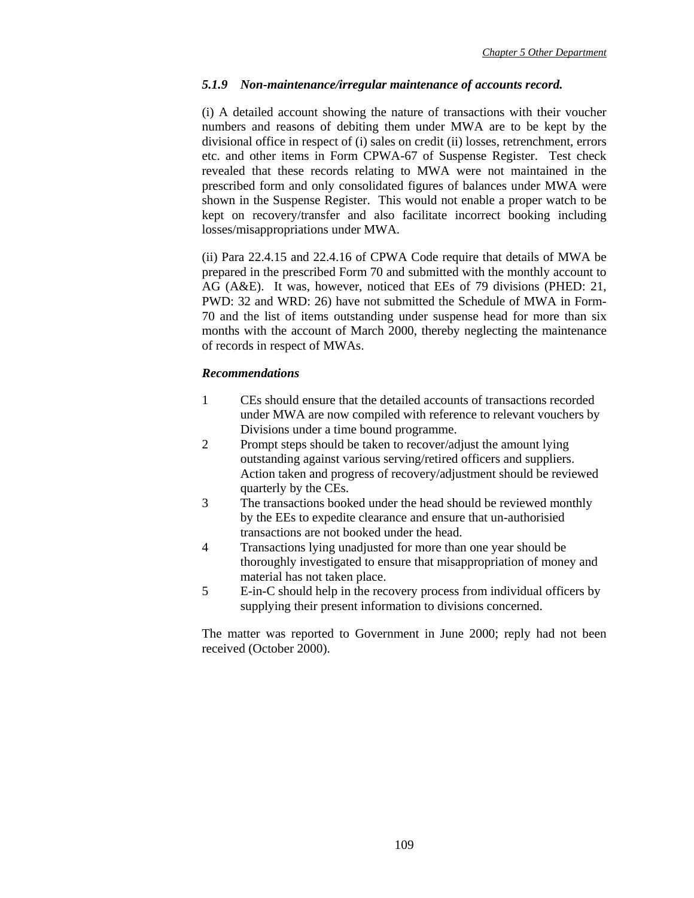### *5.1.9 Non-maintenance/irregular maintenance of accounts record.*

(i) A detailed account showing the nature of transactions with their voucher numbers and reasons of debiting them under MWA are to be kept by the divisional office in respect of (i) sales on credit (ii) losses, retrenchment, errors etc. and other items in Form CPWA-67 of Suspense Register. Test check revealed that these records relating to MWA were not maintained in the prescribed form and only consolidated figures of balances under MWA were shown in the Suspense Register. This would not enable a proper watch to be kept on recovery/transfer and also facilitate incorrect booking including losses/misappropriations under MWA.

(ii) Para 22.4.15 and 22.4.16 of CPWA Code require that details of MWA be prepared in the prescribed Form 70 and submitted with the monthly account to AG (A&E). It was, however, noticed that EEs of 79 divisions (PHED: 21, PWD: 32 and WRD: 26) have not submitted the Schedule of MWA in Form-70 and the list of items outstanding under suspense head for more than six months with the account of March 2000, thereby neglecting the maintenance of records in respect of MWAs.

### *Recommendations*

- 1 CEs should ensure that the detailed accounts of transactions recorded under MWA are now compiled with reference to relevant vouchers by Divisions under a time bound programme.
- 2 Prompt steps should be taken to recover/adjust the amount lying outstanding against various serving/retired officers and suppliers. Action taken and progress of recovery/adjustment should be reviewed quarterly by the CEs.
- 3 The transactions booked under the head should be reviewed monthly by the EEs to expedite clearance and ensure that un-authorisied transactions are not booked under the head.
- 4 Transactions lying unadjusted for more than one year should be thoroughly investigated to ensure that misappropriation of money and material has not taken place.
- 5 E-in-C should help in the recovery process from individual officers by supplying their present information to divisions concerned.

The matter was reported to Government in June 2000; reply had not been received (October 2000).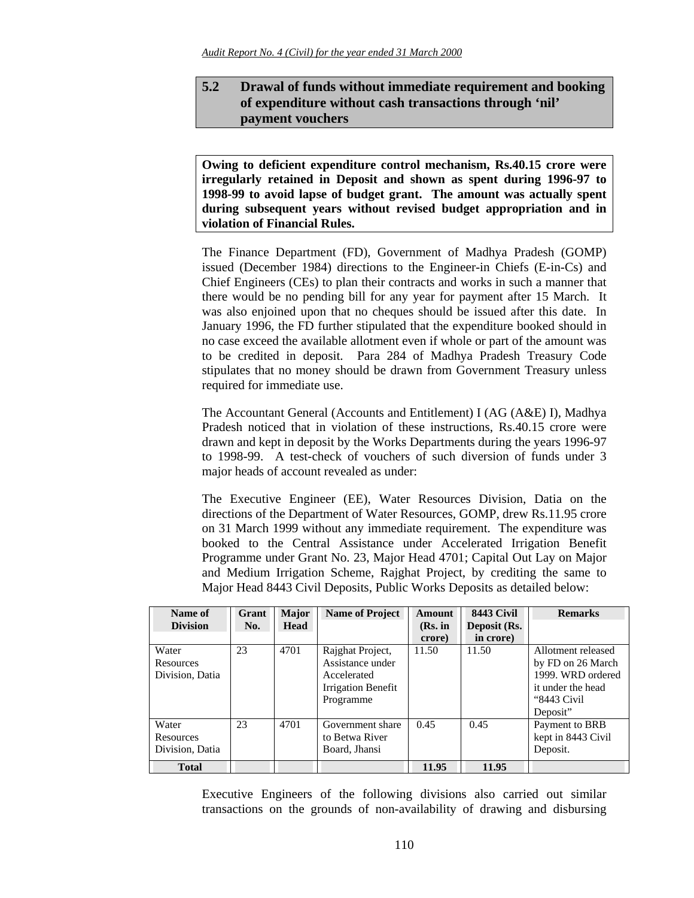## **5.2 Drawal of funds without immediate requirement and booking of expenditure without cash transactions through 'nil' payment vouchers**

**Owing to deficient expenditure control mechanism, Rs.40.15 crore were irregularly retained in Deposit and shown as spent during 1996-97 to 1998-99 to avoid lapse of budget grant. The amount was actually spent during subsequent years without revised budget appropriation and in violation of Financial Rules.** 

The Finance Department (FD), Government of Madhya Pradesh (GOMP) issued (December 1984) directions to the Engineer-in Chiefs (E-in-Cs) and Chief Engineers (CEs) to plan their contracts and works in such a manner that there would be no pending bill for any year for payment after 15 March. It was also enjoined upon that no cheques should be issued after this date. In January 1996, the FD further stipulated that the expenditure booked should in no case exceed the available allotment even if whole or part of the amount was to be credited in deposit. Para 284 of Madhya Pradesh Treasury Code stipulates that no money should be drawn from Government Treasury unless required for immediate use.

The Accountant General (Accounts and Entitlement) I (AG (A&E) I), Madhya Pradesh noticed that in violation of these instructions, Rs.40.15 crore were drawn and kept in deposit by the Works Departments during the years 1996-97 to 1998-99. A test-check of vouchers of such diversion of funds under 3 major heads of account revealed as under:

The Executive Engineer (EE), Water Resources Division, Datia on the directions of the Department of Water Resources, GOMP, drew Rs.11.95 crore on 31 March 1999 without any immediate requirement. The expenditure was booked to the Central Assistance under Accelerated Irrigation Benefit Programme under Grant No. 23, Major Head 4701; Capital Out Lay on Major and Medium Irrigation Scheme, Rajghat Project, by crediting the same to Major Head 8443 Civil Deposits, Public Works Deposits as detailed below:

| Name of         | Grant | <b>Major</b> | <b>Name of Project</b>    | <b>Amount</b> | <b>8443 Civil</b> | <b>Remarks</b>     |
|-----------------|-------|--------------|---------------------------|---------------|-------------------|--------------------|
| <b>Division</b> | No.   | <b>Head</b>  |                           | $(Rs.$ in     | Deposit (Rs.      |                    |
|                 |       |              |                           | crore)        | in crore)         |                    |
| Water           | 23    | 4701         | Rajghat Project,          | 11.50         | 11.50             | Allotment released |
| Resources       |       |              | Assistance under          |               |                   | by FD on 26 March  |
| Division, Datia |       |              | Accelerated               |               |                   | 1999. WRD ordered  |
|                 |       |              | <b>Irrigation Benefit</b> |               |                   | it under the head  |
|                 |       |              | Programme                 |               |                   | "8443 Civil"       |
|                 |       |              |                           |               |                   | Deposit"           |
| Water           | 23    | 4701         | Government share          | 0.45          | 0.45              | Payment to BRB     |
| Resources       |       |              | to Betwa River            |               |                   | kept in 8443 Civil |
| Division, Datia |       |              | Board, Jhansi             |               |                   | Deposit.           |
| <b>Total</b>    |       |              |                           | 11.95         | 11.95             |                    |

Executive Engineers of the following divisions also carried out similar transactions on the grounds of non-availability of drawing and disbursing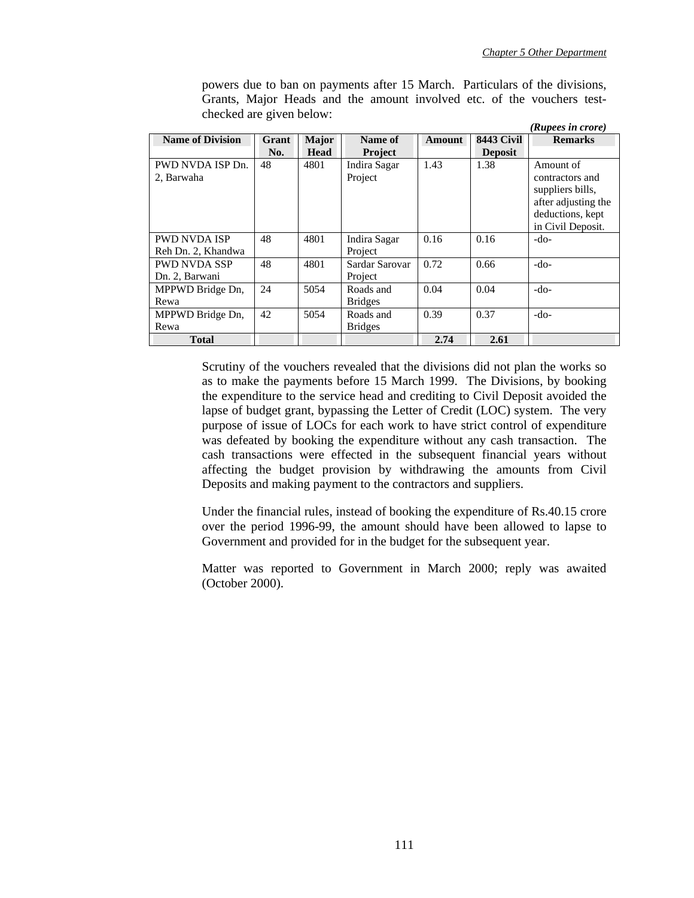powers due to ban on payments after 15 March. Particulars of the divisions, Grants, Major Heads and the amount involved etc. of the vouchers testchecked are given below:

|                         |       |              |                |               |                   | (Rupees in crore)   |
|-------------------------|-------|--------------|----------------|---------------|-------------------|---------------------|
| <b>Name of Division</b> | Grant | <b>Major</b> | Name of        | <b>Amount</b> | <b>8443 Civil</b> | <b>Remarks</b>      |
|                         | No.   | <b>Head</b>  | <b>Project</b> |               | <b>Deposit</b>    |                     |
| PWD NVDA ISP Dn.        | 48    | 4801         | Indira Sagar   | 1.43          | 1.38              | Amount of           |
| 2, Barwaha              |       |              | Project        |               |                   | contractors and     |
|                         |       |              |                |               |                   | suppliers bills,    |
|                         |       |              |                |               |                   | after adjusting the |
|                         |       |              |                |               |                   | deductions, kept    |
|                         |       |              |                |               |                   | in Civil Deposit.   |
| <b>PWD NVDA ISP</b>     | 48    | 4801         | Indira Sagar   | 0.16          | 0.16              | $-do-$              |
| Reh Dn. 2, Khandwa      |       |              | Project        |               |                   |                     |
| <b>PWD NVDA SSP</b>     | 48    | 4801         | Sardar Sarovar | 0.72          | 0.66              | $-do-$              |
| Dn. 2, Barwani          |       |              | Project        |               |                   |                     |
| MPPWD Bridge Dn,        | 24    | 5054         | Roads and      | 0.04          | 0.04              | $-do-$              |
| Rewa                    |       |              | <b>Bridges</b> |               |                   |                     |
| MPPWD Bridge Dn,        | 42    | 5054         | Roads and      | 0.39          | 0.37              | $-do-$              |
| Rewa                    |       |              | <b>Bridges</b> |               |                   |                     |
| <b>Total</b>            |       |              |                | 2.74          | 2.61              |                     |

Scrutiny of the vouchers revealed that the divisions did not plan the works so as to make the payments before 15 March 1999. The Divisions, by booking the expenditure to the service head and crediting to Civil Deposit avoided the lapse of budget grant, bypassing the Letter of Credit (LOC) system. The very purpose of issue of LOCs for each work to have strict control of expenditure was defeated by booking the expenditure without any cash transaction. The cash transactions were effected in the subsequent financial years without affecting the budget provision by withdrawing the amounts from Civil Deposits and making payment to the contractors and suppliers.

Under the financial rules, instead of booking the expenditure of Rs.40.15 crore over the period 1996-99, the amount should have been allowed to lapse to Government and provided for in the budget for the subsequent year.

Matter was reported to Government in March 2000; reply was awaited (October 2000).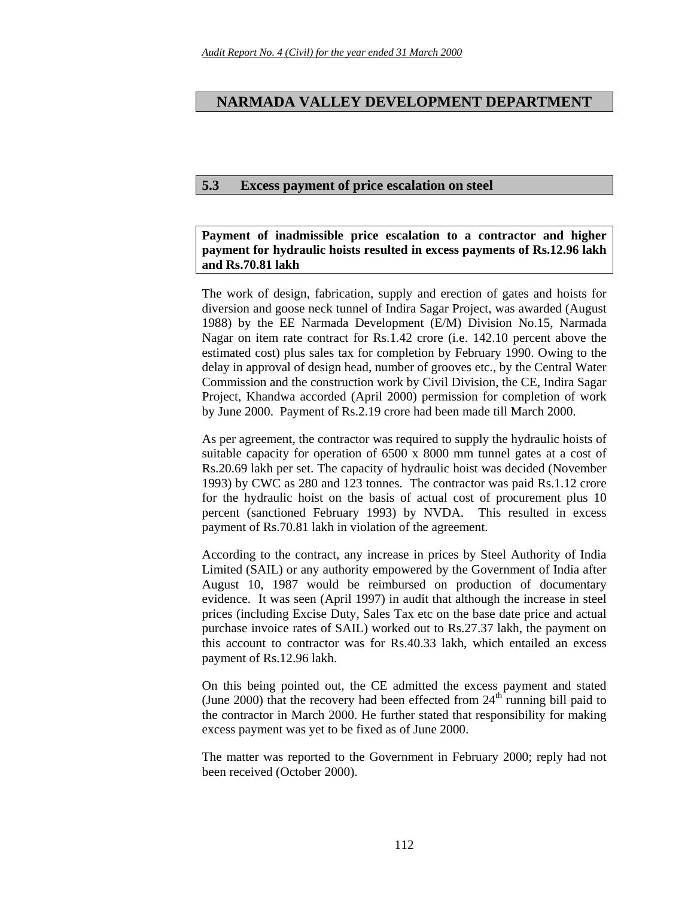## **NARMADA VALLEY DEVELOPMENT DEPARTMENT**

### **5.3 Excess payment of price escalation on steel**

**Payment of inadmissible price escalation to a contractor and higher payment for hydraulic hoists resulted in excess payments of Rs.12.96 lakh and Rs.70.81 lakh** 

The work of design, fabrication, supply and erection of gates and hoists for diversion and goose neck tunnel of Indira Sagar Project, was awarded (August 1988) by the EE Narmada Development (E/M) Division No.15, Narmada Nagar on item rate contract for Rs.1.42 crore (i.e. 142.10 percent above the estimated cost) plus sales tax for completion by February 1990. Owing to the delay in approval of design head, number of grooves etc., by the Central Water Commission and the construction work by Civil Division, the CE, Indira Sagar Project, Khandwa accorded (April 2000) permission for completion of work by June 2000. Payment of Rs.2.19 crore had been made till March 2000.

As per agreement, the contractor was required to supply the hydraulic hoists of suitable capacity for operation of 6500 x 8000 mm tunnel gates at a cost of Rs.20.69 lakh per set. The capacity of hydraulic hoist was decided (November 1993) by CWC as 280 and 123 tonnes. The contractor was paid Rs.1.12 crore for the hydraulic hoist on the basis of actual cost of procurement plus 10 percent (sanctioned February 1993) by NVDA. This resulted in excess payment of Rs.70.81 lakh in violation of the agreement.

According to the contract, any increase in prices by Steel Authority of India Limited (SAIL) or any authority empowered by the Government of India after August 10, 1987 would be reimbursed on production of documentary evidence. It was seen (April 1997) in audit that although the increase in steel prices (including Excise Duty, Sales Tax etc on the base date price and actual purchase invoice rates of SAIL) worked out to Rs.27.37 lakh, the payment on this account to contractor was for Rs.40.33 lakh, which entailed an excess payment of Rs.12.96 lakh.

On this being pointed out, the CE admitted the excess payment and stated (June 2000) that the recovery had been effected from  $24<sup>th</sup>$  running bill paid to the contractor in March 2000. He further stated that responsibility for making excess payment was yet to be fixed as of June 2000.

The matter was reported to the Government in February 2000; reply had not been received (October 2000).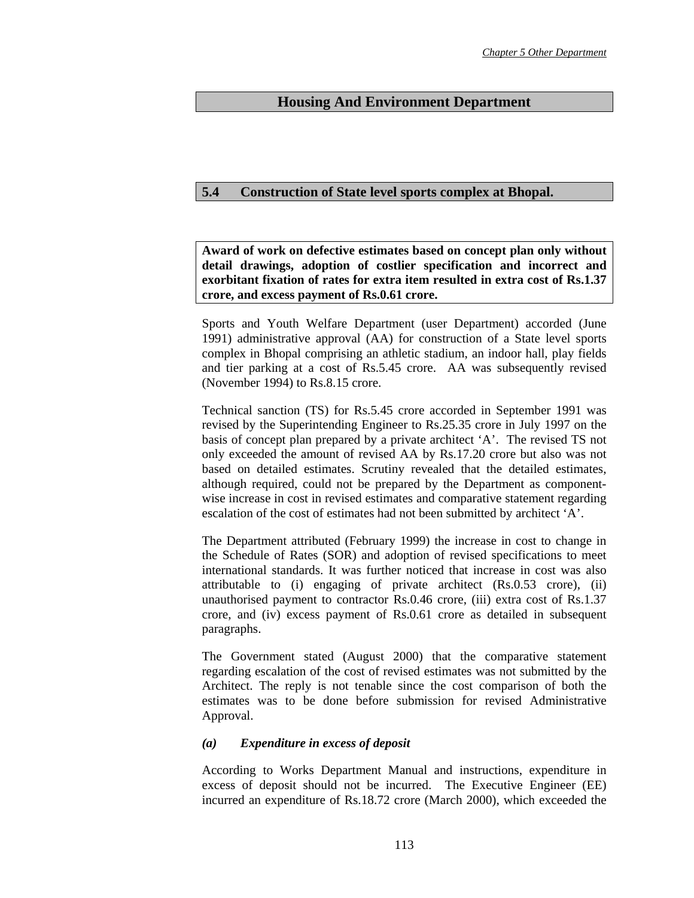### **Housing And Environment Department**

### **5.4 Construction of State level sports complex at Bhopal.**

**Award of work on defective estimates based on concept plan only without detail drawings, adoption of costlier specification and incorrect and exorbitant fixation of rates for extra item resulted in extra cost of Rs.1.37 crore, and excess payment of Rs.0.61 crore.** 

Sports and Youth Welfare Department (user Department) accorded (June 1991) administrative approval (AA) for construction of a State level sports complex in Bhopal comprising an athletic stadium, an indoor hall, play fields and tier parking at a cost of Rs.5.45 crore. AA was subsequently revised (November 1994) to Rs.8.15 crore.

Technical sanction (TS) for Rs.5.45 crore accorded in September 1991 was revised by the Superintending Engineer to Rs.25.35 crore in July 1997 on the basis of concept plan prepared by a private architect 'A'. The revised TS not only exceeded the amount of revised AA by Rs.17.20 crore but also was not based on detailed estimates. Scrutiny revealed that the detailed estimates, although required, could not be prepared by the Department as componentwise increase in cost in revised estimates and comparative statement regarding escalation of the cost of estimates had not been submitted by architect 'A'.

The Department attributed (February 1999) the increase in cost to change in the Schedule of Rates (SOR) and adoption of revised specifications to meet international standards. It was further noticed that increase in cost was also attributable to (i) engaging of private architect (Rs.0.53 crore), (ii) unauthorised payment to contractor Rs.0.46 crore, (iii) extra cost of Rs.1.37 crore, and (iv) excess payment of Rs.0.61 crore as detailed in subsequent paragraphs.

The Government stated (August 2000) that the comparative statement regarding escalation of the cost of revised estimates was not submitted by the Architect. The reply is not tenable since the cost comparison of both the estimates was to be done before submission for revised Administrative Approval.

#### *(a) Expenditure in excess of deposit*

According to Works Department Manual and instructions, expenditure in excess of deposit should not be incurred. The Executive Engineer (EE) incurred an expenditure of Rs.18.72 crore (March 2000), which exceeded the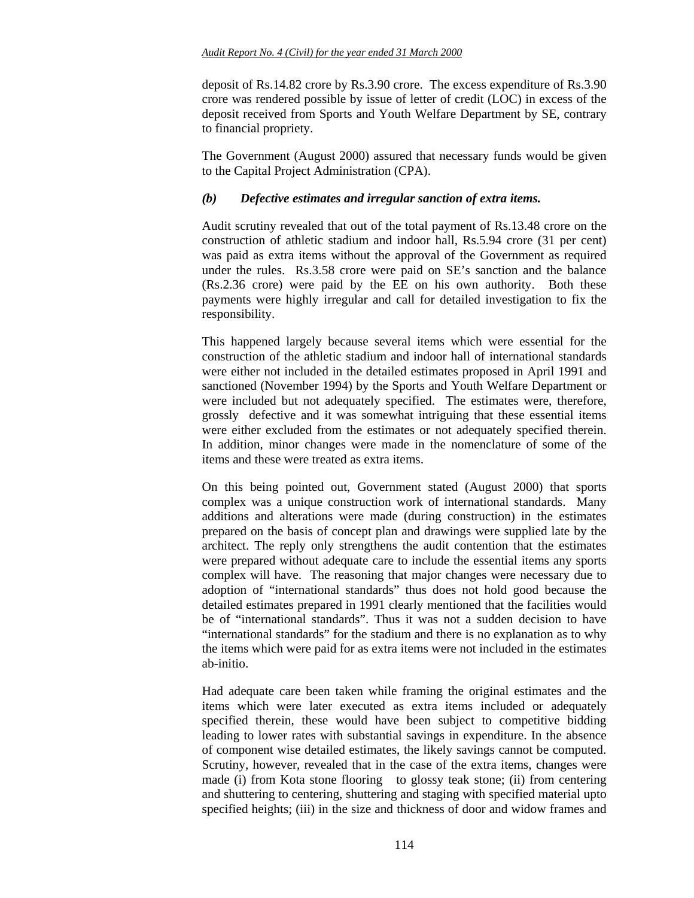deposit of Rs.14.82 crore by Rs.3.90 crore. The excess expenditure of Rs.3.90 crore was rendered possible by issue of letter of credit (LOC) in excess of the deposit received from Sports and Youth Welfare Department by SE, contrary to financial propriety.

The Government (August 2000) assured that necessary funds would be given to the Capital Project Administration (CPA).

### *(b) Defective estimates and irregular sanction of extra items.*

Audit scrutiny revealed that out of the total payment of Rs.13.48 crore on the construction of athletic stadium and indoor hall, Rs.5.94 crore (31 per cent) was paid as extra items without the approval of the Government as required under the rules. Rs.3.58 crore were paid on SE's sanction and the balance (Rs.2.36 crore) were paid by the EE on his own authority. Both these payments were highly irregular and call for detailed investigation to fix the responsibility.

This happened largely because several items which were essential for the construction of the athletic stadium and indoor hall of international standards were either not included in the detailed estimates proposed in April 1991 and sanctioned (November 1994) by the Sports and Youth Welfare Department or were included but not adequately specified. The estimates were, therefore, grossly defective and it was somewhat intriguing that these essential items were either excluded from the estimates or not adequately specified therein. In addition, minor changes were made in the nomenclature of some of the items and these were treated as extra items.

On this being pointed out, Government stated (August 2000) that sports complex was a unique construction work of international standards. Many additions and alterations were made (during construction) in the estimates prepared on the basis of concept plan and drawings were supplied late by the architect. The reply only strengthens the audit contention that the estimates were prepared without adequate care to include the essential items any sports complex will have. The reasoning that major changes were necessary due to adoption of "international standards" thus does not hold good because the detailed estimates prepared in 1991 clearly mentioned that the facilities would be of "international standards". Thus it was not a sudden decision to have "international standards" for the stadium and there is no explanation as to why the items which were paid for as extra items were not included in the estimates ab-initio.

Had adequate care been taken while framing the original estimates and the items which were later executed as extra items included or adequately specified therein, these would have been subject to competitive bidding leading to lower rates with substantial savings in expenditure. In the absence of component wise detailed estimates, the likely savings cannot be computed. Scrutiny, however, revealed that in the case of the extra items, changes were made (i) from Kota stone flooring to glossy teak stone; (ii) from centering and shuttering to centering, shuttering and staging with specified material upto specified heights; (iii) in the size and thickness of door and widow frames and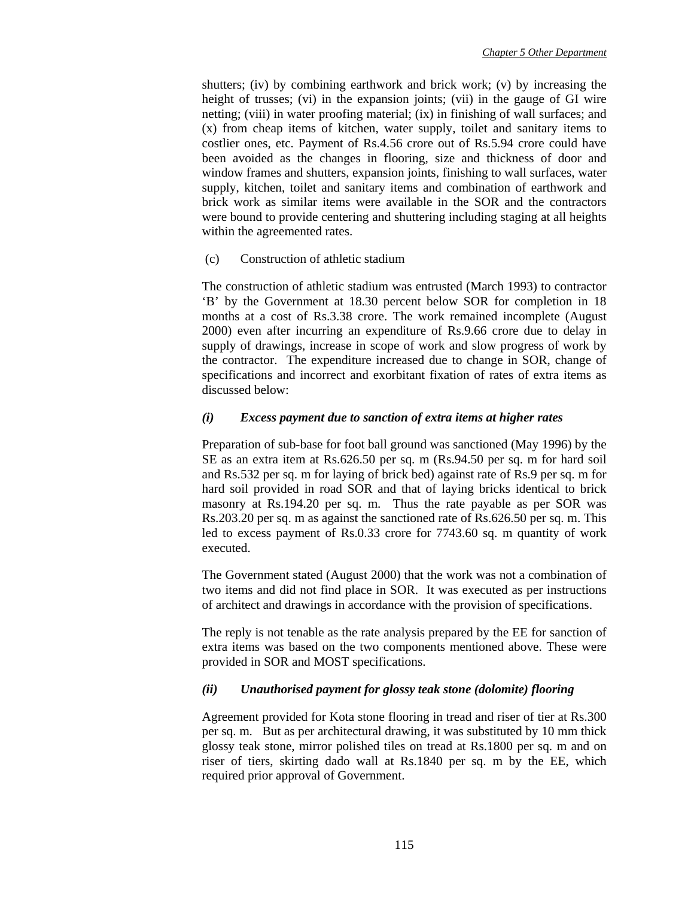shutters; (iv) by combining earthwork and brick work; (v) by increasing the height of trusses; (vi) in the expansion joints; (vii) in the gauge of GI wire netting; (viii) in water proofing material; (ix) in finishing of wall surfaces; and (x) from cheap items of kitchen, water supply, toilet and sanitary items to costlier ones, etc. Payment of Rs.4.56 crore out of Rs.5.94 crore could have been avoided as the changes in flooring, size and thickness of door and window frames and shutters, expansion joints, finishing to wall surfaces, water supply, kitchen, toilet and sanitary items and combination of earthwork and brick work as similar items were available in the SOR and the contractors were bound to provide centering and shuttering including staging at all heights within the agreemented rates.

#### (c) Construction of athletic stadium

The construction of athletic stadium was entrusted (March 1993) to contractor 'B' by the Government at 18.30 percent below SOR for completion in 18 months at a cost of Rs.3.38 crore. The work remained incomplete (August 2000) even after incurring an expenditure of Rs.9.66 crore due to delay in supply of drawings, increase in scope of work and slow progress of work by the contractor. The expenditure increased due to change in SOR, change of specifications and incorrect and exorbitant fixation of rates of extra items as discussed below:

#### *(i) Excess payment due to sanction of extra items at higher rates*

Preparation of sub-base for foot ball ground was sanctioned (May 1996) by the SE as an extra item at Rs.626.50 per sq. m (Rs.94.50 per sq. m for hard soil and Rs.532 per sq. m for laying of brick bed) against rate of Rs.9 per sq. m for hard soil provided in road SOR and that of laying bricks identical to brick masonry at Rs.194.20 per sq. m. Thus the rate payable as per SOR was Rs.203.20 per sq. m as against the sanctioned rate of Rs.626.50 per sq. m. This led to excess payment of Rs.0.33 crore for 7743.60 sq. m quantity of work executed.

The Government stated (August 2000) that the work was not a combination of two items and did not find place in SOR. It was executed as per instructions of architect and drawings in accordance with the provision of specifications.

The reply is not tenable as the rate analysis prepared by the EE for sanction of extra items was based on the two components mentioned above. These were provided in SOR and MOST specifications.

### *(ii) Unauthorised payment for glossy teak stone (dolomite) flooring*

Agreement provided for Kota stone flooring in tread and riser of tier at Rs.300 per sq. m. But as per architectural drawing, it was substituted by 10 mm thick glossy teak stone, mirror polished tiles on tread at Rs.1800 per sq. m and on riser of tiers, skirting dado wall at Rs.1840 per sq. m by the EE, which required prior approval of Government.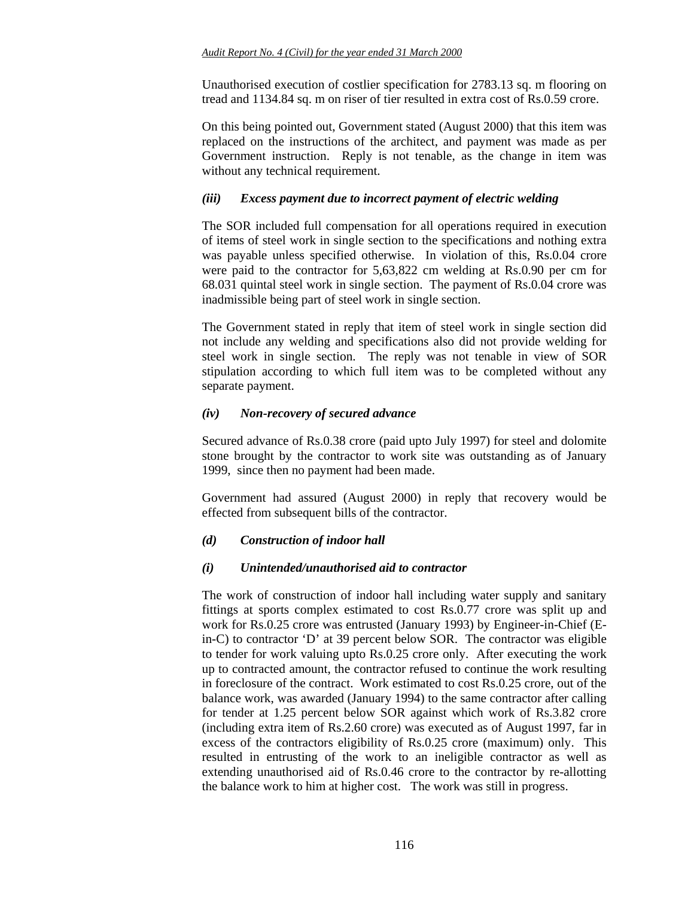Unauthorised execution of costlier specification for 2783.13 sq. m flooring on tread and 1134.84 sq. m on riser of tier resulted in extra cost of Rs.0.59 crore.

On this being pointed out, Government stated (August 2000) that this item was replaced on the instructions of the architect, and payment was made as per Government instruction. Reply is not tenable, as the change in item was without any technical requirement.

### *(iii) Excess payment due to incorrect payment of electric welding*

The SOR included full compensation for all operations required in execution of items of steel work in single section to the specifications and nothing extra was payable unless specified otherwise. In violation of this, Rs.0.04 crore were paid to the contractor for 5,63,822 cm welding at Rs.0.90 per cm for 68.031 quintal steel work in single section. The payment of Rs.0.04 crore was inadmissible being part of steel work in single section.

The Government stated in reply that item of steel work in single section did not include any welding and specifications also did not provide welding for steel work in single section. The reply was not tenable in view of SOR stipulation according to which full item was to be completed without any separate payment.

### *(iv) Non-recovery of secured advance*

Secured advance of Rs.0.38 crore (paid upto July 1997) for steel and dolomite stone brought by the contractor to work site was outstanding as of January 1999, since then no payment had been made.

Government had assured (August 2000) in reply that recovery would be effected from subsequent bills of the contractor.

## *(d) Construction of indoor hall*

### *(i) Unintended/unauthorised aid to contractor*

The work of construction of indoor hall including water supply and sanitary fittings at sports complex estimated to cost Rs.0.77 crore was split up and work for Rs.0.25 crore was entrusted (January 1993) by Engineer-in-Chief (Ein-C) to contractor 'D' at 39 percent below SOR. The contractor was eligible to tender for work valuing upto Rs.0.25 crore only. After executing the work up to contracted amount, the contractor refused to continue the work resulting in foreclosure of the contract. Work estimated to cost Rs.0.25 crore, out of the balance work, was awarded (January 1994) to the same contractor after calling for tender at 1.25 percent below SOR against which work of Rs.3.82 crore (including extra item of Rs.2.60 crore) was executed as of August 1997, far in excess of the contractors eligibility of Rs.0.25 crore (maximum) only. This resulted in entrusting of the work to an ineligible contractor as well as extending unauthorised aid of Rs.0.46 crore to the contractor by re-allotting the balance work to him at higher cost. The work was still in progress.